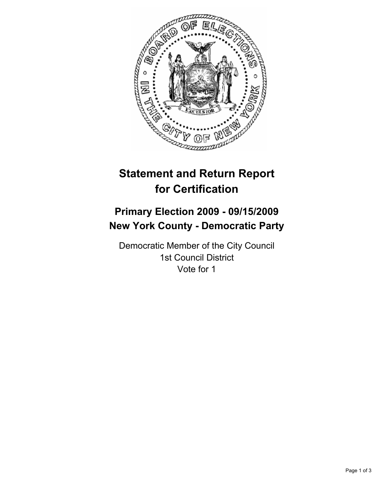

# **Statement and Return Report for Certification**

## **Primary Election 2009 - 09/15/2009 New York County - Democratic Party**

Democratic Member of the City Council 1st Council District Vote for 1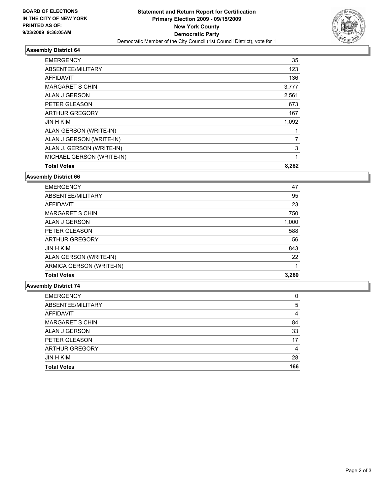

### **Assembly District 64**

| <b>EMERGENCY</b>          | 35    |
|---------------------------|-------|
| ABSENTEE/MILITARY         | 123   |
| <b>AFFIDAVIT</b>          | 136   |
| <b>MARGARET S CHIN</b>    | 3,777 |
| ALAN J GERSON             | 2,561 |
| PETER GLEASON             | 673   |
| <b>ARTHUR GREGORY</b>     | 167   |
| <b>JIN H KIM</b>          | 1,092 |
| ALAN GERSON (WRITE-IN)    | 1     |
| ALAN J GERSON (WRITE-IN)  | 7     |
| ALAN J. GERSON (WRITE-IN) | 3     |
| MICHAEL GERSON (WRITE-IN) | 1     |
| <b>Total Votes</b>        | 8,282 |

#### **Assembly District 66**

| <b>Total Votes</b>       | 3.260 |
|--------------------------|-------|
| ARMICA GERSON (WRITE-IN) | 1     |
| ALAN GERSON (WRITE-IN)   | 22    |
| <b>JIN H KIM</b>         | 843   |
| <b>ARTHUR GREGORY</b>    | 56    |
| PETER GLEASON            | 588   |
| ALAN J GERSON            | 1,000 |
| <b>MARGARET S CHIN</b>   | 750   |
| AFFIDAVIT                | 23    |
| ABSENTEE/MILITARY        | 95    |
| <b>EMERGENCY</b>         | 47    |

#### **Assembly District 74**

| <b>Total Votes</b>     | 166 |
|------------------------|-----|
| <b>JIN H KIM</b>       | 28  |
| <b>ARTHUR GREGORY</b>  | 4   |
| PETER GLEASON          | 17  |
| ALAN J GERSON          | 33  |
| <b>MARGARET S CHIN</b> | 84  |
| AFFIDAVIT              | 4   |
| ABSENTEE/MILITARY      | 5   |
| <b>EMERGENCY</b>       | 0   |